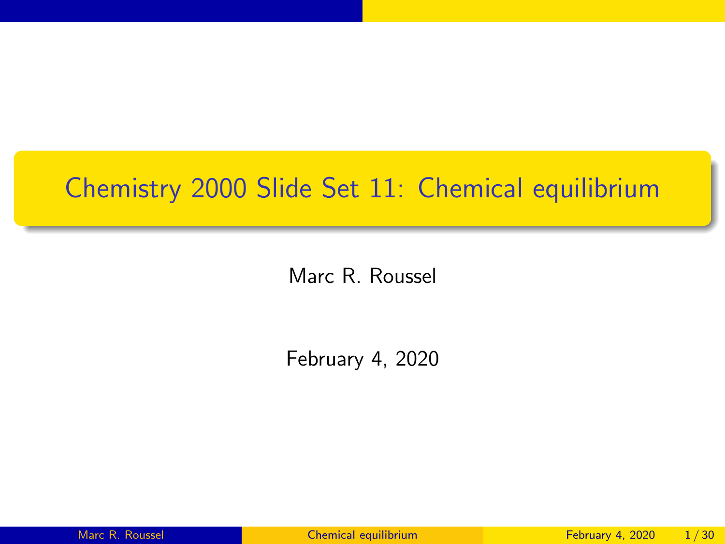#### <span id="page-0-0"></span>Chemistry 2000 Slide Set 11: Chemical equilibrium

Marc R. Roussel

February 4, 2020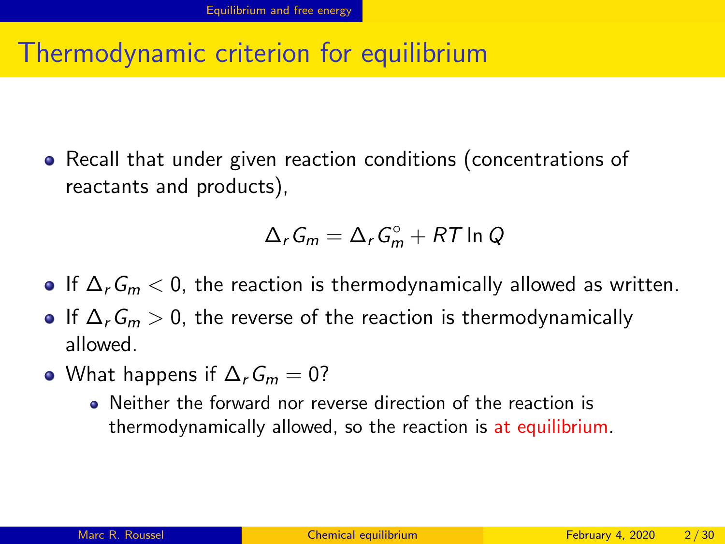#### <span id="page-1-0"></span>Thermodynamic criterion for equilibrium

• Recall that under given reaction conditions (concentrations of reactants and products),

$$
\Delta_r G_m = \Delta_r G_m^\circ + RT \ln Q
$$

- $\bullet$  If  $\Delta_r G_m < 0$ , the reaction is thermodynamically allowed as written.
- $\bullet$  If  $\Delta_r G_m > 0$ , the reverse of the reaction is thermodynamically allowed.
- What happens if  $\Delta_r G_m = 0$ ?
	- Neither the forward nor reverse direction of the reaction is thermodynamically allowed, so the reaction is at equilibrium.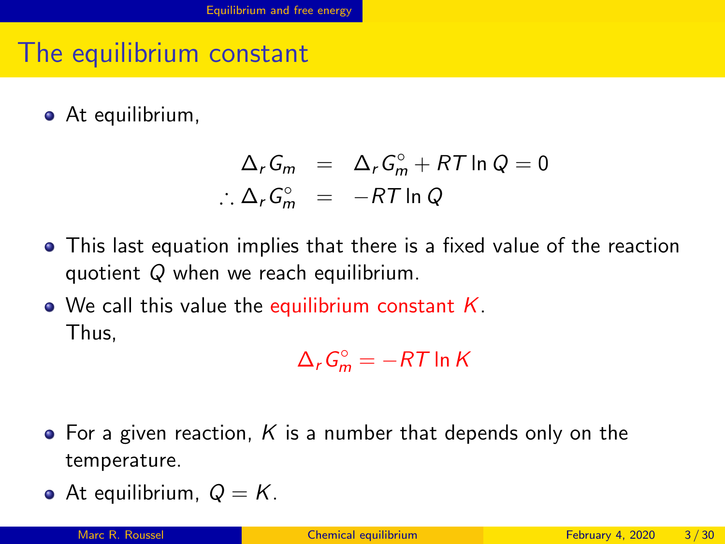### The equilibrium constant

• At equilibrium,

$$
\Delta_r G_m = \Delta_r G_m^\circ + RT \ln Q = 0
$$
  

$$
\therefore \Delta_r G_m^\circ = -RT \ln Q
$$

- This last equation implies that there is a fixed value of the reaction quotient Q when we reach equilibrium.
- We call this value the equilibrium constant  $K$ . Thus,

$$
\Delta_r G_m^\circ = -RT \ln K
$$

- $\bullet$  For a given reaction, K is a number that depends only on the temperature.
- At equilibrium,  $Q = K$ .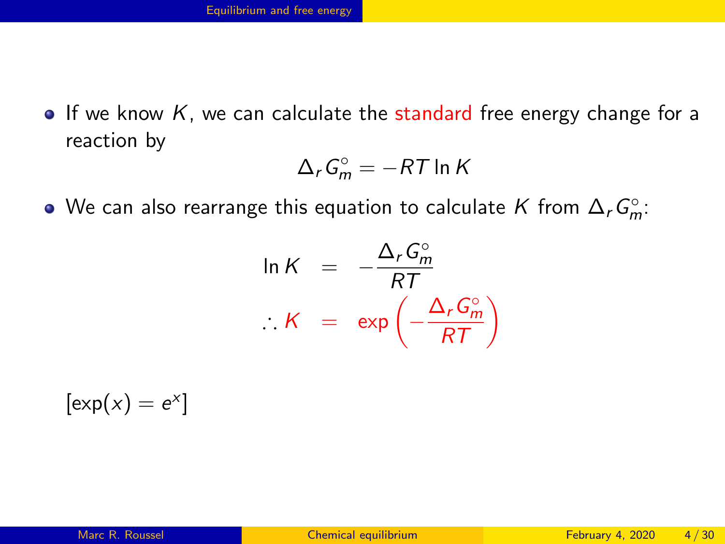$\bullet$  If we know K, we can calculate the standard free energy change for a reaction by

$$
\Delta_r G_m^\circ = -RT \ln K
$$

We can also rearrange this equation to calculate  $K$  from  $\Delta_r G_m^\circ$ :

$$
\ln K = -\frac{\Delta_r G_m^{\circ}}{RT}
$$

$$
\therefore K = \exp\left(-\frac{\Delta_r G_m^{\circ}}{RT}\right)
$$

 $\left[\exp(x) = e^x\right]$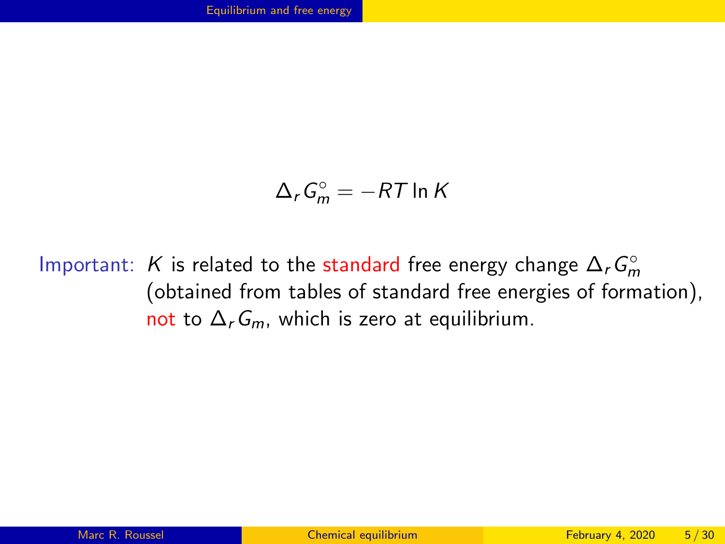$$
\Delta_r G_m^\circ = -RT \ln K
$$

Important: K is related to the standard free energy change  $\Delta_r G_m^{\circ}$ (obtained from tables of standard free energies of formation), not to  $\Delta_r G_m$ , which is zero at equilibrium.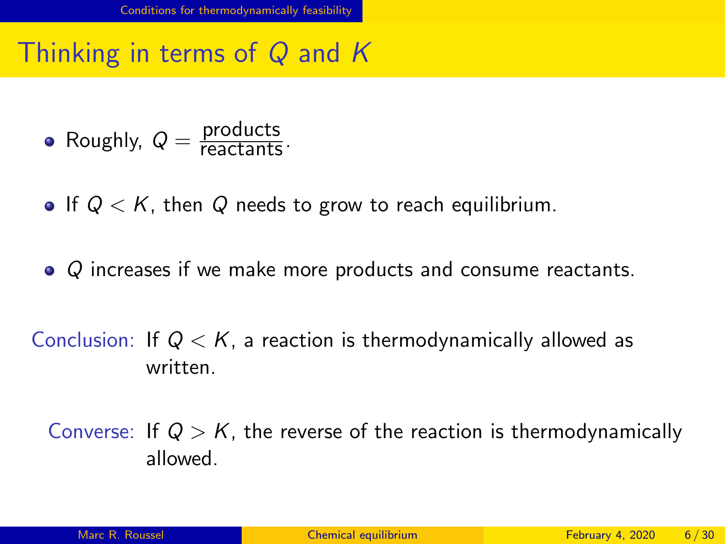<span id="page-5-0"></span>Thinking in terms of Q and K

Roughly,  $Q = \frac{\text{products}}{\text{reactants}}$ .

- If  $Q \lt K$ , then Q needs to grow to reach equilibrium.
- Q increases if we make more products and consume reactants.

Conclusion: If  $Q < K$ , a reaction is thermodynamically allowed as written.

Converse: If  $Q > K$ , the reverse of the reaction is thermodynamically allowed.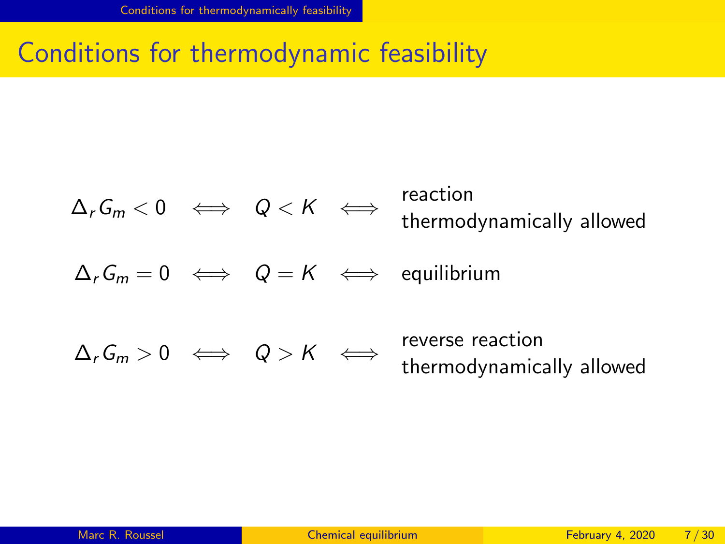#### Conditions for thermodynamic feasibility

$$
\Delta_r G_m < 0 \iff Q < K \iff \text{reaction}
$$
\n
$$
\Delta_r G_m = 0 \iff Q = K \iff \text{equilibrium}
$$
\n
$$
\Delta_r G_m > 0 \iff Q > K \iff \text{reverse reaction}
$$
\n
$$
\Delta_r G_m > 0 \iff Q > K \iff \text{reverse reaction}
$$
\n
$$
\Delta_r G_m > 0 \iff Q > K \iff \text{reversed} \to \text{thermodynamically allowed}
$$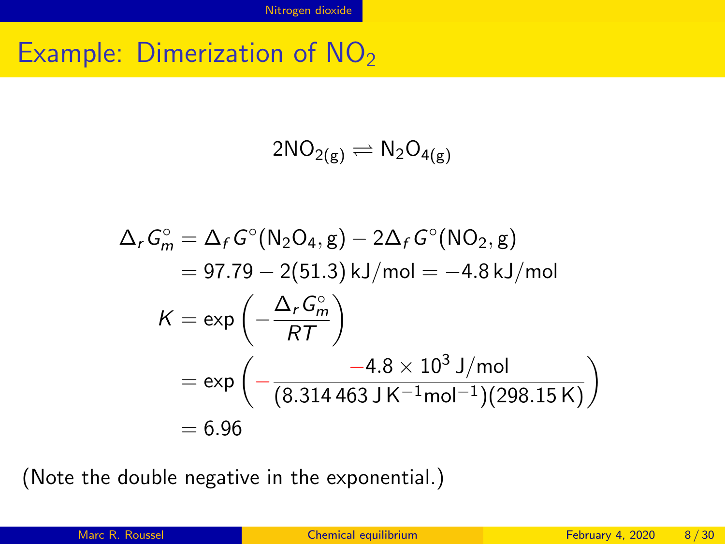#### <span id="page-7-0"></span>Example: Dimerization of NO<sub>2</sub>

$$
2NO_{2(g)}\rightleftharpoons N_2O_{4(g)}
$$

$$
\Delta_r G_m^{\circ} = \Delta_f G^{\circ} (N_2 O_{4}, g) - 2\Delta_f G^{\circ} (N O_{2}, g)
$$
  
= 97.79 - 2(51.3) kJ/mol = -4.8 kJ/mol  

$$
K = \exp \left(-\frac{\Delta_r G_m^{\circ}}{RT}\right)
$$
  
= exp \left(-\frac{-4.8 \times 10^3 \text{ J/mol}}{(8.314463 \text{ J K}^{-1} \text{mol}^{-1})(298.15 \text{ K})}\right)  
= 6.96

(Note the double negative in the exponential.)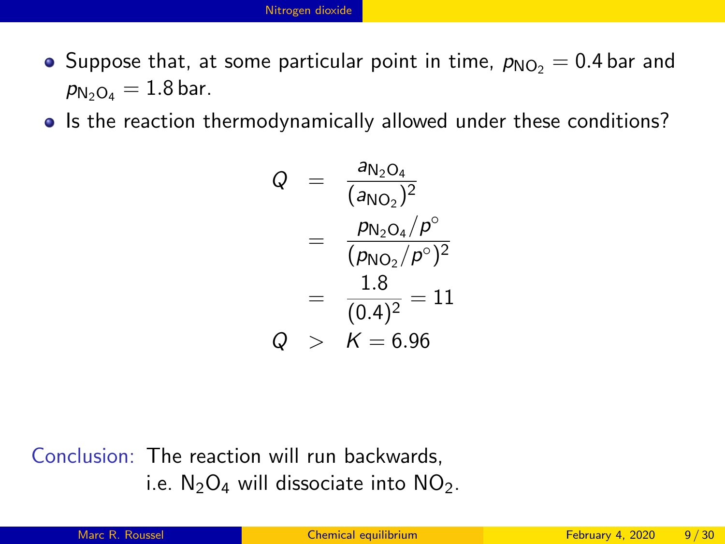- Suppose that, at some particular point in time,  $p_{NO<sub>2</sub>} = 0.4$  bar and  $p_{N_2O_4} = 1.8$  bar.
- Is the reaction thermodynamically allowed under these conditions?

$$
Q = \frac{a_{N_2O_4}}{(a_{NO_2})^2}
$$
  
= 
$$
\frac{p_{N_2O_4}/p^{\circ}}{(p_{NO_2}/p^{\circ})^2}
$$
  
= 
$$
\frac{1.8}{(0.4)^2} = 11
$$
  

$$
Q > K = 6.96
$$

Conclusion: The reaction will run backwards, i.e.  $N_2O_4$  will dissociate into  $NO_2$ .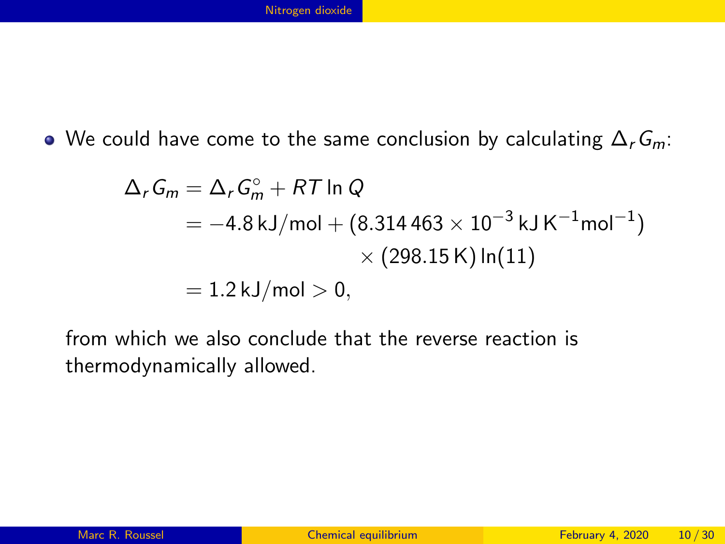We could have come to the same conclusion by calculating  $\Delta_r G_m$ :

$$
\Delta_r G_m = \Delta_r G_m^{\circ} + RT \ln Q
$$
  
= -4.8 kJ/mol + (8.314463 × 10<sup>-3</sup> kJ K<sup>-1</sup>mol<sup>-1</sup>)  
× (298.15 K) ln(11)  
= 1.2 kJ/mol > 0,

from which we also conclude that the reverse reaction is thermodynamically allowed.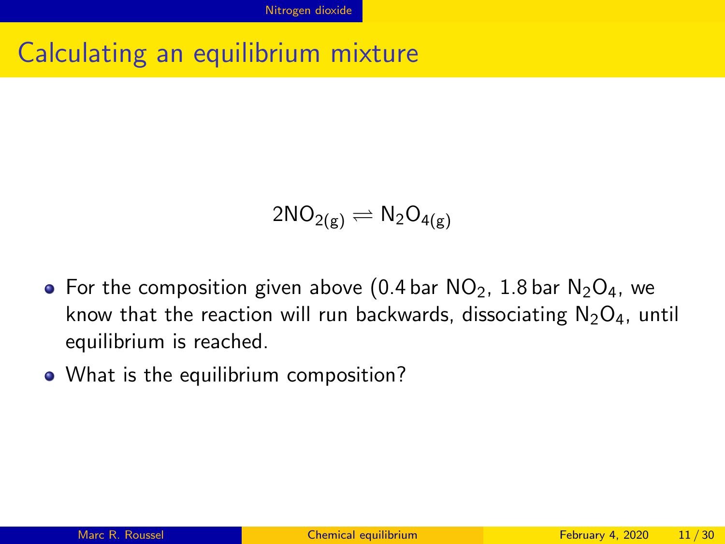#### Calculating an equilibrium mixture

$$
2NO_{2(g)}\rightleftharpoons N_2O_{4(g)}
$$

- For the composition given above (0.4 bar  $NO_2$ , 1.8 bar  $N_2O_4$ , we know that the reaction will run backwards, dissociating  $N_2O_4$ , until equilibrium is reached.
- What is the equilibrium composition?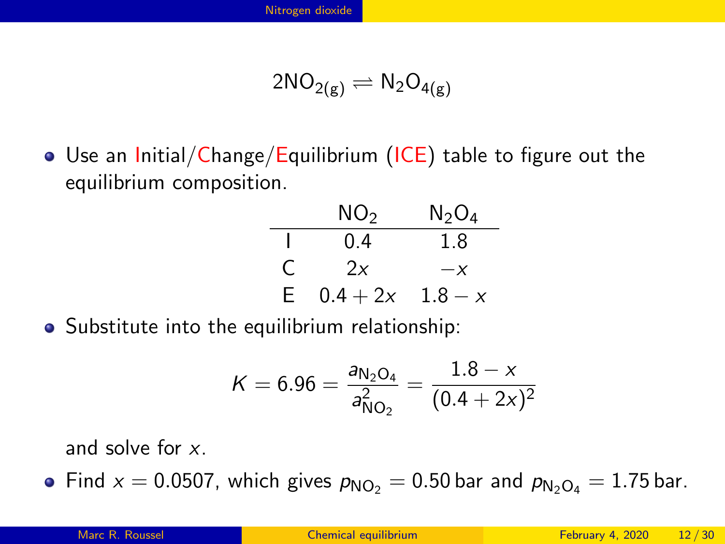$$
2NO_{2(g)}\rightleftharpoons N_2O_{4(g)}
$$

• Use an Initial/Change/Equilibrium (ICE) table to figure out the equilibrium composition.

|    | NO <sub>2</sub> | $\rm N_2O_4$ |
|----|-----------------|--------------|
|    | 0.4             | 1.8          |
| C  | 2x              | $-x$         |
| E. | $0.4 + 2x$      | $1.8 - x$    |

Substitute into the equilibrium relationship:

$$
K = 6.96 = \frac{a_{N_2O_4}}{a_{NO_2}^2} = \frac{1.8 - x}{(0.4 + 2x)^2}
$$

and solve for x.

• Find  $x = 0.0507$ , which gives  $p_{NO<sub>2</sub>} = 0.50$  bar and  $p_{NoO<sub>4</sub>} = 1.75$  bar.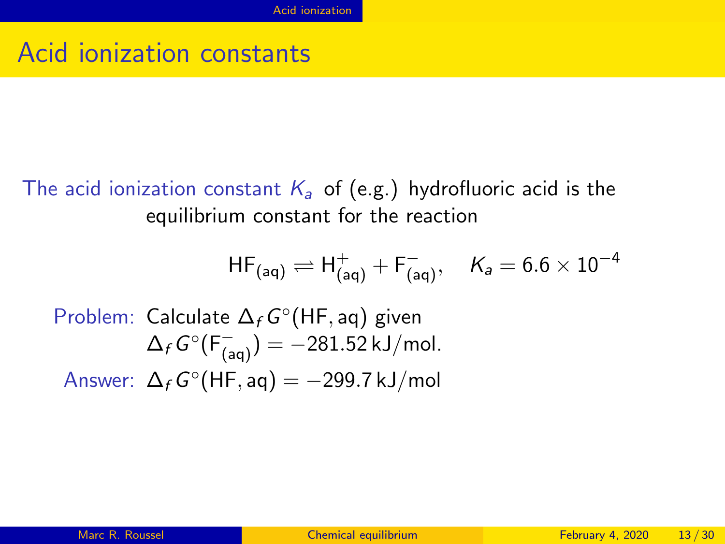#### <span id="page-12-0"></span>Acid ionization constants

The acid ionization constant  $K_a$  of (e.g.) hydrofluoric acid is the equilibrium constant for the reaction

$$
{\sf HF}_{(\mathsf{aq})} \rightleftharpoons {\sf H}^+_{(\mathsf{aq})} + {\sf F}^-_{(\mathsf{aq})}, \quad \mathsf{K}_\mathsf{a} = 6.6 \times 10^{-4}
$$

Problem: Calculate 
$$
\Delta_f G^{\circ}(HF, aq)
$$
 given  
\n $\Delta_f G^{\circ}(F_{(aq)}^-) = -281.52 \text{ kJ/mol}.$   
\nAnswer:  $\Delta_f G^{\circ}(HF, aq) = -299.7 \text{ kJ/mol}$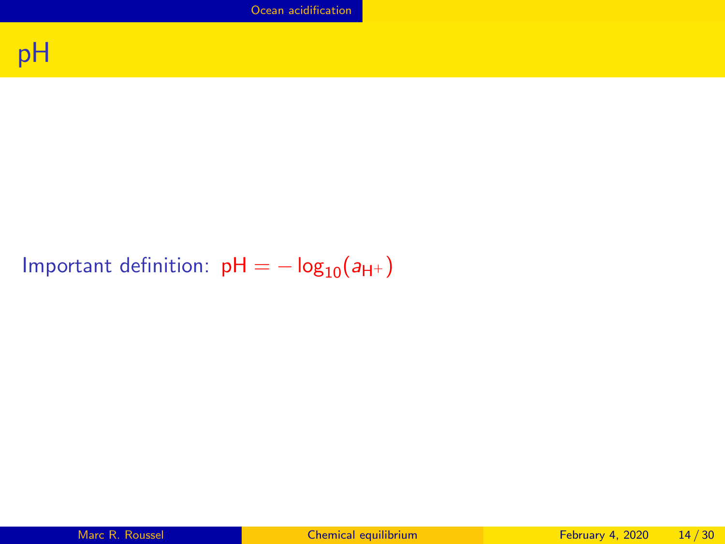[Ocean acidification](#page-13-0)

<span id="page-13-0"></span>

#### Important definition:  $pH = -\log_{10}(a_{H^{+}})$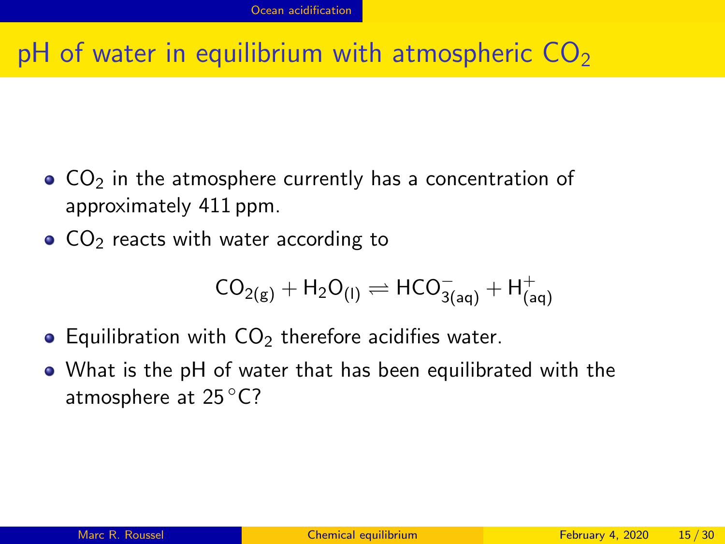## pH of water in equilibrium with atmospheric  $CO<sub>2</sub>$

- $\bullet$  CO<sub>2</sub> in the atmosphere currently has a concentration of approximately 411 ppm.
- $\bullet$  CO<sub>2</sub> reacts with water according to

$$
CO_{2(g)} + H_2O_{(I)} \rightleftharpoons HCO^{-}_{3(aq)} + H^{+}_{(aq)}
$$

- $\bullet$  Equilibration with  $CO<sub>2</sub>$  therefore acidifies water.
- What is the pH of water that has been equilibrated with the atmosphere at 25 ◦C?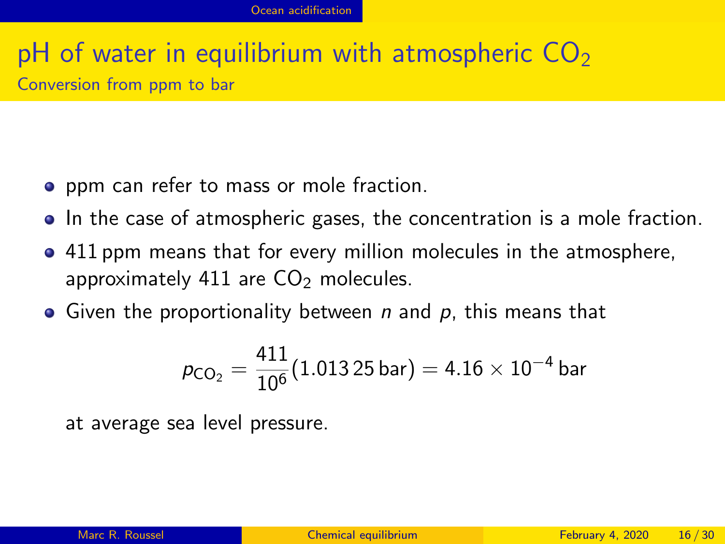#### pH of water in equilibrium with atmospheric  $CO<sub>2</sub>$ Conversion from ppm to bar

- **•** ppm can refer to mass or mole fraction.
- In the case of atmospheric gases, the concentration is a mole fraction.
- 411 ppm means that for every million molecules in the atmosphere, approximately 411 are  $CO<sub>2</sub>$  molecules.
- Given the proportionality between  $n$  and  $p$ , this means that

$$
\rho_{\text{CO}_2} = \frac{411}{10^6}(1.013\,25\,\text{bar}) = 4.16\times10^{-4}\,\text{bar}
$$

at average sea level pressure.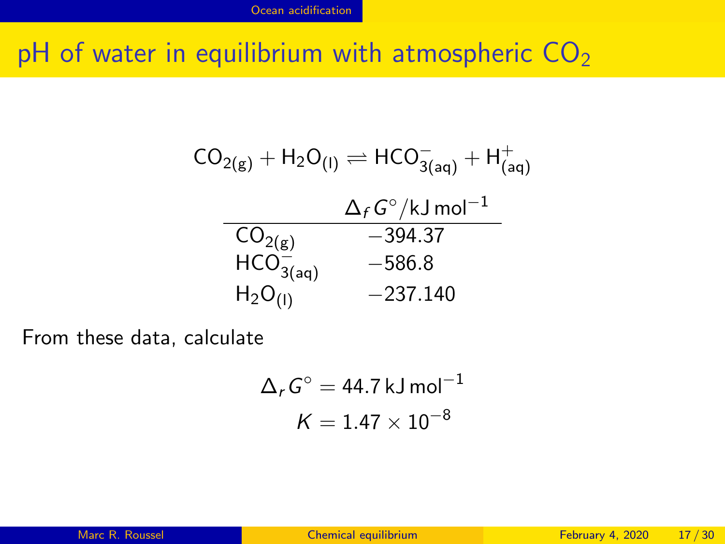pH of water in equilibrium with atmospheric  $CO<sub>2</sub>$ 

$$
CO_{2(g)} + H_2O_{(I)} \rightleftharpoons HCO_{3(aq)}^- + H_{(aq)}^+
$$
  
\n
$$
O_{2(g)} \qquad \qquad \Delta_f G^{\circ}/kJ \text{ mol}^{-1}
$$
  
\n
$$
CO_{2(g)} \qquad \qquad -394.37
$$
  
\n
$$
HCO_{3(aq)}^- \qquad \qquad -586.8
$$
  
\n
$$
H_2O_{(I)} \qquad \qquad -237.140
$$

From these data, calculate

$$
\Delta_r G^\circ = 44.7 \,\text{kJ}\,\text{mol}^{-1}
$$

$$
K = 1.47 \times 10^{-8}
$$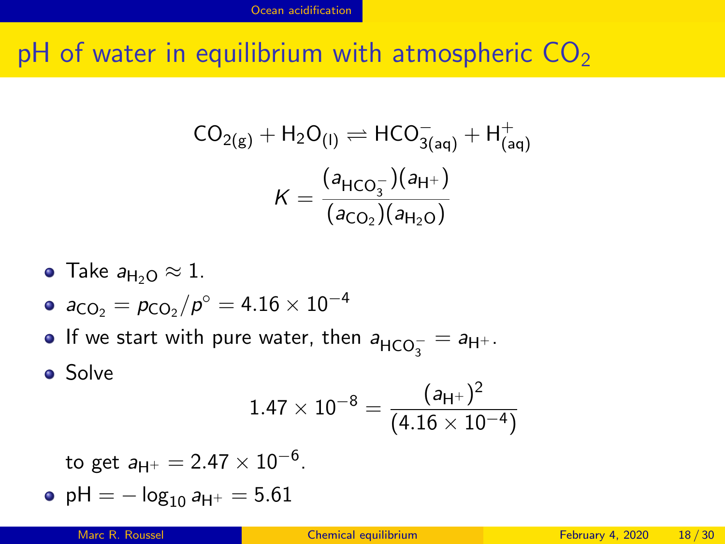pH of water in equilibrium with atmospheric  $CO<sub>2</sub>$ 

$$
CO_{2(g)} + H_2O_{(I)} \rightleftharpoons HCO_{3(aq)}^- + H_{(aq)}^+
$$

$$
K = \frac{(a_{HCO_3^-})(a_{H^+})}{(a_{CO_2})(a_{H_2O})}
$$

- $\bullet$  Take  $a_{H_2O} \approx 1$ .
- $\mathsf{a}_\mathsf{CO_2} = \mathsf{p}_\mathsf{CO_2} / \mathsf{p}^\circ = 4.16 \times 10^{-4}$
- If we start with pure water, then  $a_{\mathsf{HCO}_3^-} = a_{\mathsf{H}^+}.$
- **o** Solve

$$
1.47\times 10^{-8} = \frac{(a_{\text{H}^+})^2}{(4.16\times 10^{-4})}
$$

to get  $a_{\mathsf{H}^+}=2.47\times 10^{-6}.$ 

• pH =  $-\log_{10} a_{H^+} = 5.61$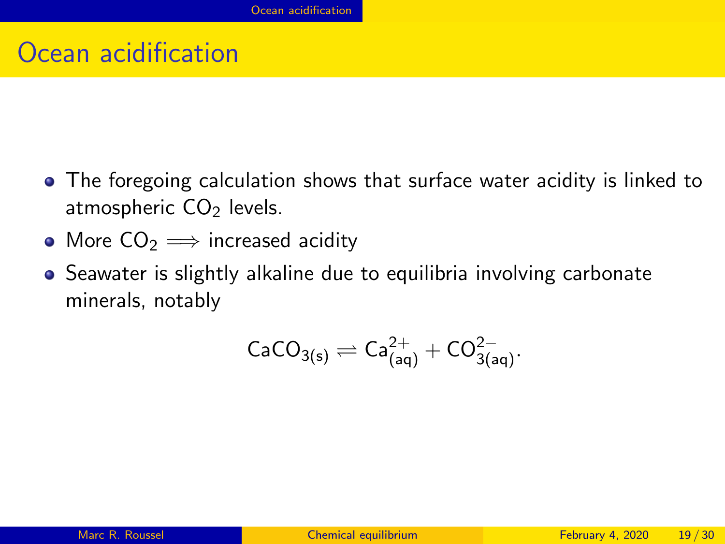#### Ocean acidification

- The foregoing calculation shows that surface water acidity is linked to atmospheric  $CO<sub>2</sub>$  levels.
- More  $CO<sub>2</sub> \implies$  increased acidity
- Seawater is slightly alkaline due to equilibria involving carbonate minerals, notably

$$
\mathsf{CaCO}_{3(s)}\rightleftharpoons\mathsf{Ca}^{2+}_{(aq)}+\mathsf{CO}^{2-}_{3(aq)}.
$$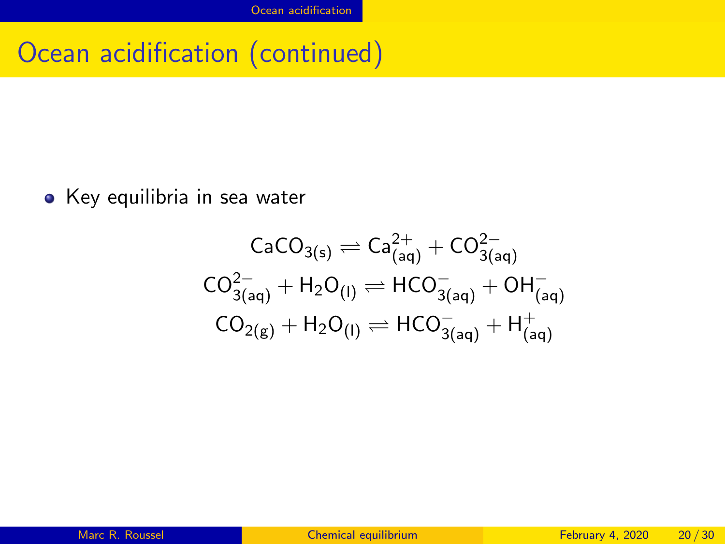#### Ocean acidification (continued)

• Key equilibria in sea water

$$
\begin{aligned} \text{CaCO}_{3(s)} & \rightleftharpoons \text{Ca}_{\text{(aq)}}^{2+} + \text{CO}_{3\text{(aq)}}^{2-} \\ \text{CO}_{3\text{(aq)}}^{2-} + \text{H}_2\text{O}_{\text{(l)}} & \rightleftharpoons \text{HCO}_{3\text{(aq)}}^{-} + \text{OH}_{\text{(aq)}}^{-} \\ \text{CO}_{2(g)} + \text{H}_2\text{O}_{\text{(l)}} & \rightleftharpoons \text{HCO}_{3\text{(aq)}}^{-} + \text{H}_{\text{(aq)}}^{+} \end{aligned}
$$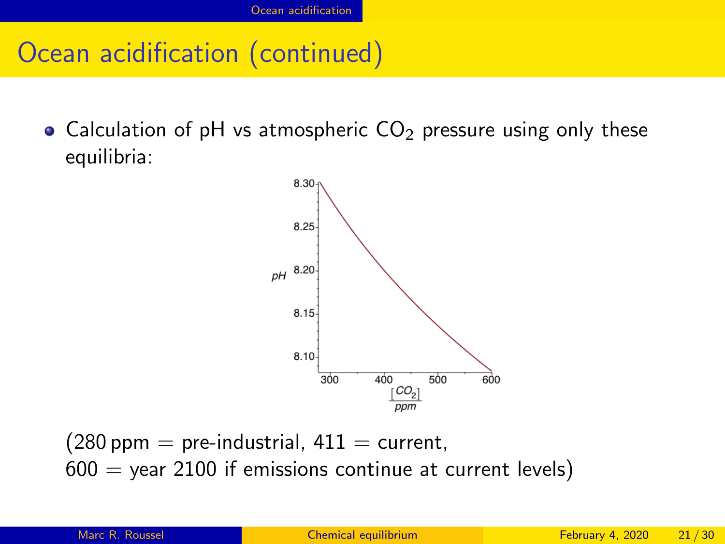#### Ocean acidification (continued)

• Calculation of pH vs atmospheric  $CO<sub>2</sub>$  pressure using only these equilibria:



 $(280 \text{ ppm} = \text{pre-industrial}, 411 = \text{current},$  $600 =$  year 2100 if emissions continue at current levels)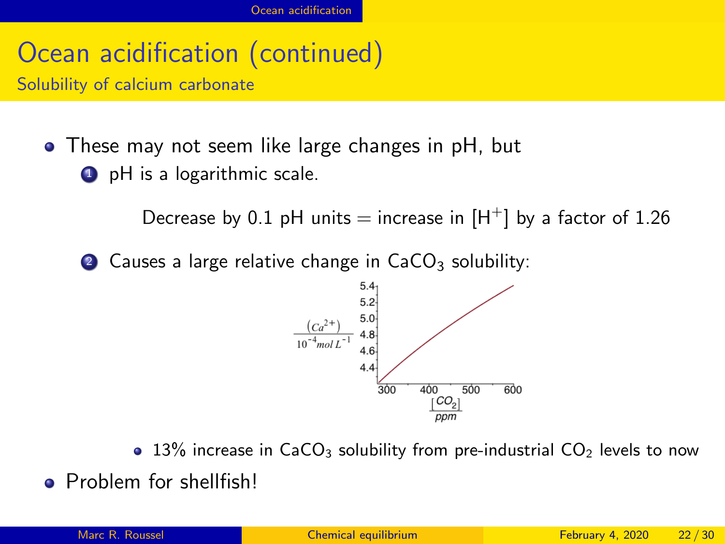# Ocean acidification (continued)

Solubility of calcium carbonate

These may not seem like large changes in pH, but **1** pH is a logarithmic scale.

Decrease by 0.1 pH units = increase in  $[H^+]$  by a factor of 1.26

2 Causes a large relative change in  $CaCO<sub>3</sub>$  solubility:



 $\bullet$  13% increase in CaCO<sub>3</sub> solubility from pre-industrial CO<sub>2</sub> levels to now

**•** Problem for shellfish!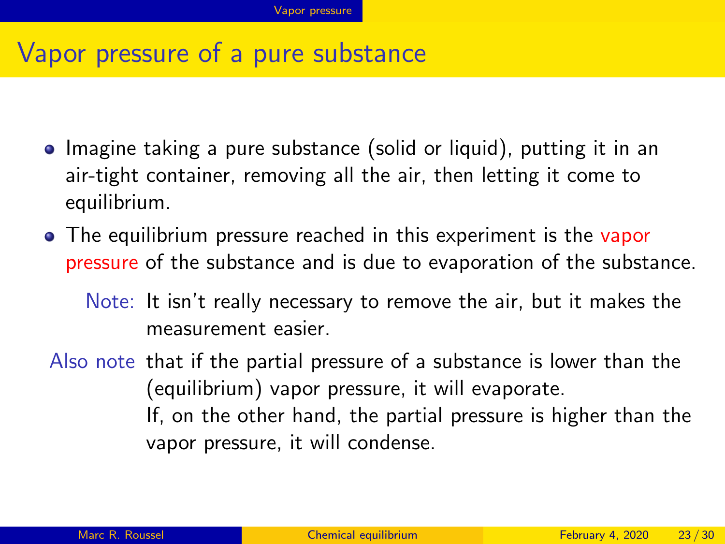#### <span id="page-22-0"></span>Vapor pressure of a pure substance

- Imagine taking a pure substance (solid or liquid), putting it in an air-tight container, removing all the air, then letting it come to equilibrium.
- The equilibrium pressure reached in this experiment is the vapor pressure of the substance and is due to evaporation of the substance.
	- Note: It isn't really necessary to remove the air, but it makes the measurement easier.
- Also note that if the partial pressure of a substance is lower than the (equilibrium) vapor pressure, it will evaporate. If, on the other hand, the partial pressure is higher than the vapor pressure, it will condense.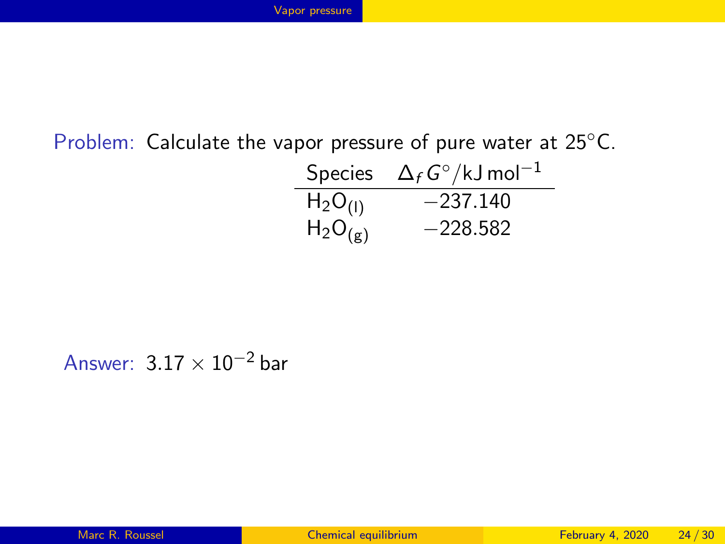#### Problem: Calculate the vapor pressure of pure water at 25◦C.

|              | Species $\Delta_f G^{\circ}/kJ$ mol <sup>-1</sup> |
|--------------|---------------------------------------------------|
| $H_2O_{(1)}$ | $-237.140$                                        |
| $H_2O_{(g)}$ | $-228.582$                                        |

Answer:  $3.17 \times 10^{-2}$  bar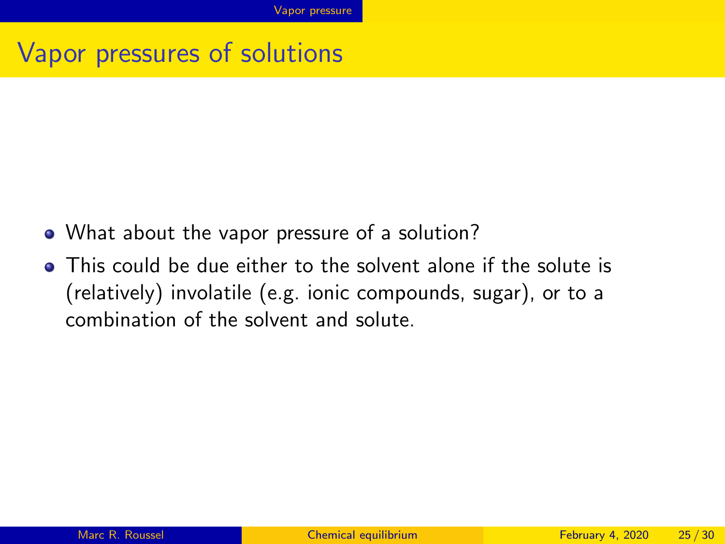#### Vapor pressures of solutions

- What about the vapor pressure of a solution?
- This could be due either to the solvent alone if the solute is (relatively) involatile (e.g. ionic compounds, sugar), or to a combination of the solvent and solute.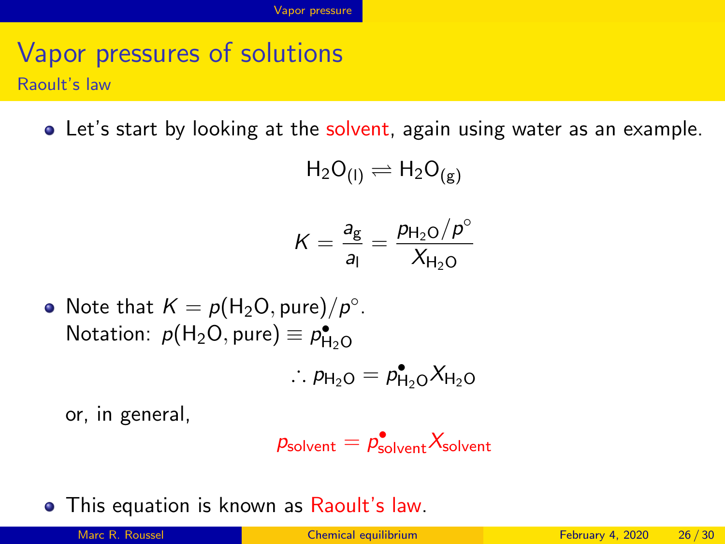#### Vapor pressures of solutions Raoult's law

Let's start by looking at the solvent, again using water as an example.

$$
H_2O_{(I)} \rightleftharpoons H_2O_{(g)}
$$

$$
K = \frac{a_{\rm g}}{a_{\rm l}} = \frac{p_{\rm H_2O}/p^{\circ}}{X_{\rm H_2O}}
$$

Note that  $K = p(\mathsf{H}_2\mathsf{O}, \mathsf{pure})/p^\circ$ . Notation:  $p(H_2O, pure) \equiv p_{H_2O}^{\bullet}$ 

$$
\therefore p_{\mathsf{H}_2\mathsf{O}} = p_{\mathsf{H}_2\mathsf{O}}^{\bullet} X_{\mathsf{H}_2\mathsf{O}}
$$

or, in general,

$$
p_{\text{solvent}} = p_{\text{solvent}}^{\bullet} X_{\text{solvent}}
$$

**•** This equation is known as Raoult's law.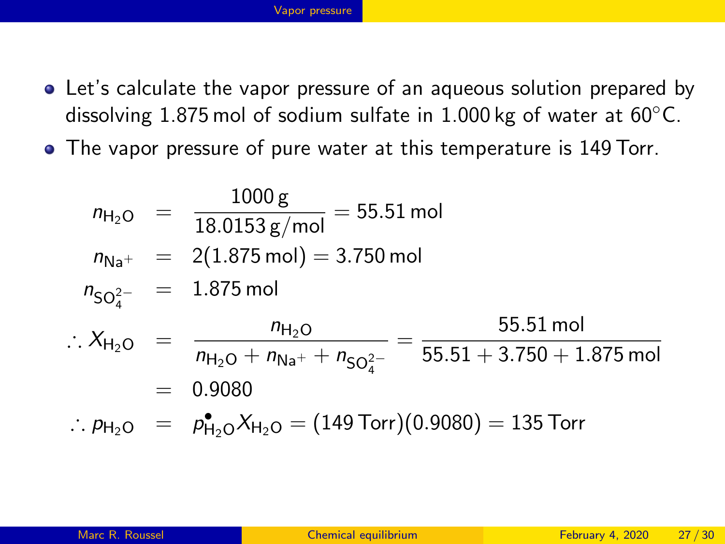- Let's calculate the vapor pressure of an aqueous solution prepared by dissolving 1.875 mol of sodium sulfate in 1.000 kg of water at  $60^{\circ}$ C.
- The vapor pressure of pure water at this temperature is 149 Torr.

$$
n_{\text{H}_2\text{O}} = \frac{1000 \text{ g}}{18.0153 \text{ g/mol}} = 55.51 \text{ mol}
$$
\n
$$
n_{\text{Na}^+} = 2(1.875 \text{ mol}) = 3.750 \text{ mol}
$$
\n
$$
n_{\text{SO}_4^{2-}} = 1.875 \text{ mol}
$$
\n
$$
\therefore X_{\text{H}_2\text{O}} = \frac{n_{\text{H}_2\text{O}}}{n_{\text{H}_2\text{O}} + n_{\text{Na}^+} + n_{\text{SO}_4^{2-}}} = \frac{55.51 \text{ mol}}{55.51 + 3.750 + 1.875 \text{ mol}}
$$
\n
$$
= 0.9080
$$
\n
$$
\therefore p_{\text{H}_2\text{O}} = p_{\text{H}_2\text{O}}^{\bullet} X_{\text{H}_2\text{O}} = (149 \text{ Torr})(0.9080) = 135 \text{ Torr}
$$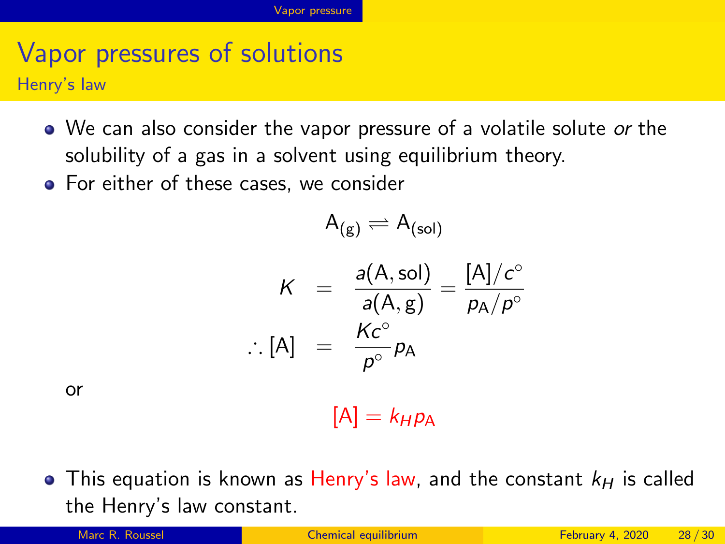# Vapor pressures of solutions

Henry's law

- We can also consider the vapor pressure of a volatile solute or the solubility of a gas in a solvent using equilibrium theory.
- For either of these cases, we consider

$$
\mathsf{A}_{(\mathsf{g})} \rightleftharpoons \mathsf{A}_{(\mathsf{sol})}
$$

$$
K = \frac{a(A, sol)}{a(A, g)} = \frac{[A]/c^{\circ}}{p_A/p^{\circ}}
$$
  
:. [A] =  $\frac{Kc^{\circ}}{p^{\circ}}p_A$ 

or

 $[A] = k_H p_A$ 

• This equation is known as Henry's law, and the constant  $k_H$  is called the Henry's law constant.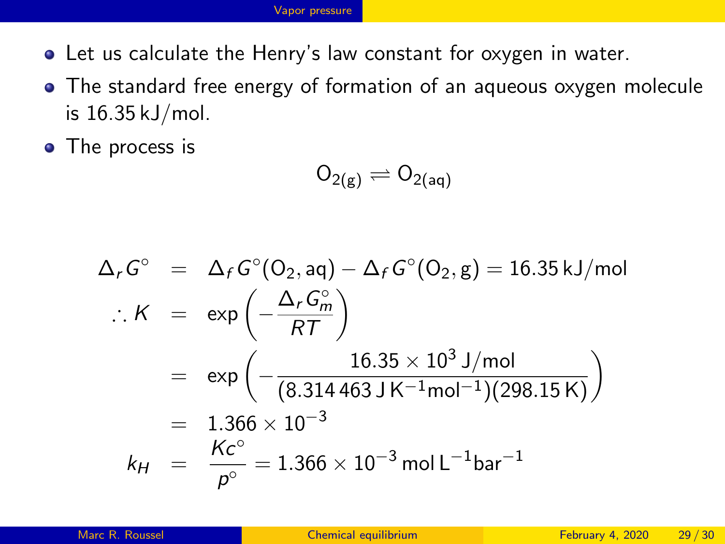#### [Vapor pressure](#page-22-0)

- Let us calculate the Henry's law constant for oxygen in water.
- The standard free energy of formation of an aqueous oxygen molecule is 16.35 kJ/mol.
- The process is

$$
\mathsf{O}_{2(g)}\rightleftharpoons \mathsf{O}_{2(\mathsf{aq})}
$$

$$
\Delta_r G^\circ = \Delta_f G^\circ (O_2, aq) - \Delta_f G^\circ (O_2, g) = 16.35 \text{ kJ/mol}
$$
  
.:  $K = \exp\left(-\frac{\Delta_r G_m^\circ}{RT}\right)$   

$$
= \exp\left(-\frac{16.35 \times 10^3 \text{ J/mol}}{(8.314463 \text{ J K}^{-1} \text{mol}^{-1})(298.15 \text{ K})}\right)
$$
  

$$
= 1.366 \times 10^{-3}
$$
  
 $k_H = \frac{Kc^\circ}{p^\circ} = 1.366 \times 10^{-3} \text{ mol L}^{-1} \text{bar}^{-1}$